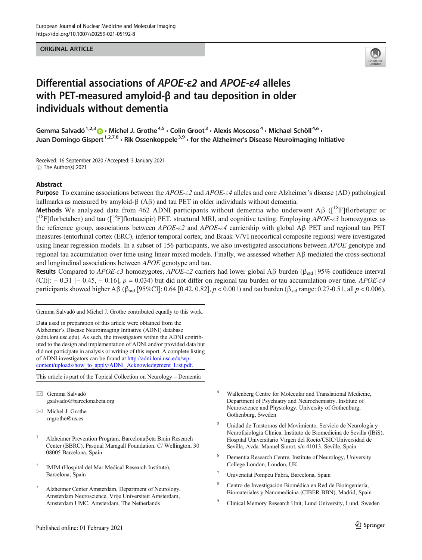#### ORIGINAL ARTICLE



# Differential associations of APOE-ε2 and APOE-ε4 alleles with PET-measured amyloid-β and tau deposition in older individuals without dementia

Gemma Salvadó<sup>1,2,3</sup>  $\cdot\cdot$  Michel J. Grothe<sup>4,5</sup>  $\cdot$  Colin Groot<sup>3</sup>  $\cdot$  Alexis Moscoso<sup>4</sup>  $\cdot$  Michael Schöll<sup>4,6</sup>  $\cdot$ Juan Domingo Gispert<sup>1,2,7,8</sup>  $\cdot$  Rik Ossenkoppele<sup>3,9</sup>  $\cdot$  for the Alzheimer's Disease Neuroimaging Initiative

Received: 16 September 2020 /Accepted: 3 January 2021  $\circledcirc$  The Author(s) 2021

## Abstract

**Purpose** To examine associations between the  $APOE-\epsilon2$  and  $APOE-\epsilon4$  alleles and core Alzheimer's disease (AD) pathological hallmarks as measured by amyloid-β (Aβ) and tau PET in older individuals without dementia.

Methods We analyzed data from 462 ADNI participants without dementia who underwent A $\beta$  ([<sup>18</sup>F]florbetapir or [<sup>18</sup>F]florbetaben) and tau ([<sup>18</sup>F]flortaucipir) PET, structural MRI, and cognitive testing. Employing APOE- $\varepsilon$ 3 homozygotes as the reference group, associations between  $APOE-\epsilon2$  and  $APOE-\epsilon4$  carriership with global A $\beta$  PET and regional tau PET measures (entorhinal cortex (ERC), inferior temporal cortex, and Braak-V/VI neocortical composite regions) were investigated using linear regression models. In a subset of 156 participants, we also investigated associations between APOE genotype and regional tau accumulation over time using linear mixed models. Finally, we assessed whether Aβ mediated the cross-sectional and longitudinal associations between APOE genotype and tau.

Results Compared to APOE-ε3 homozygotes, APOE-ε2 carriers had lower global Aβ burden ( $\beta_{std}$  [95% confidence interval (CI)]:  $-0.31$  [ $-0.45$ ,  $-0.16$ ],  $p = 0.034$ ) but did not differ on regional tau burden or tau accumulation over time. APOE- $\varepsilon$ 4 participants showed higher Aβ (β<sub>std</sub> [95%CI]: 0.64 [0.42, 0.82],  $p < 0.001$ ) and tau burden (β<sub>std</sub> range: 0.27-0.51, all  $p < 0.006$ ).

Gemma Salvadó and Michel J. Grothe contributed equally to this work.

Data used in preparation of this article were obtained from the Alzheimer's Disease Neuroimaging Initiative (ADNI) database (adni.loni.usc.edu). As such, the investigators within the ADNI contributed to the design and implementation of ADNI and/or provided data but did not participate in analysis or writing of this report. A complete listing of ADNI investigators can be found at [http://adni.loni.usc.edu/wp](http://adni.loni.usc.edu/wp--content/uploads/how_to_apply/ADNI_Acknowledgement_List.pdf)[content/uploads/how\\_to\\_apply/ADNI\\_Acknowledgement\\_List.pdf.](http://adni.loni.usc.edu/wp--content/uploads/how_to_apply/ADNI_Acknowledgement_List.pdf)

This article is part of the Topical Collection on Neurology – Dementia

 $\boxtimes$  Gemma Salvadó [gsalvado@barcelonabeta.org](mailto:gsalvado@barcelonabeta.org)

- $\boxtimes$  Michel J. Grothe [mgrothe@us.es](mailto:mgrothe@us.es)
- <sup>1</sup> Alzheimer Prevention Program, Barcelonaβeta Brain Research Center (BBRC), Pasqual Maragall Foundation, C/ Wellington, 30 08005 Barcelona, Spain
- <sup>2</sup> IMIM (Hospital del Mar Medical Research Institute), Barcelona, Spain
- <sup>3</sup> Alzheimer Center Amsterdam, Department of Neurology, Amsterdam Neuroscience, Vrije Universiteit Amsterdam, Amsterdam UMC, Amsterdam, The Netherlands
- <sup>4</sup> Wallenberg Centre for Molecular and Translational Medicine, Department of Psychiatry and Neurochemistry, Institute of Neuroscience and Physiology, University of Gothenburg, Gothenburg, Sweden
- <sup>5</sup> Unidad de Trastornos del Movimiento, Servicio de Neurología y Neurofisiología Clínica, Instituto de Biomedicina de Sevilla (IBiS), Hospital Universitario Virgen del Rocío/CSIC/Universidad de Sevilla, Avda. Manuel Siurot, s/n 41013, Seville, Spain
- <sup>6</sup> Dementia Research Centre, Institute of Neurology, University College London, London, UK
- <sup>7</sup> Universitat Pompeu Fabra, Barcelona, Spain
- <sup>8</sup> Centro de Investigación Biomédica en Red de Bioingeniería, Biomateriales y Nanomedicina (CIBER-BBN), Madrid, Spain
- <sup>9</sup> Clinical Memory Research Unit, Lund University, Lund, Sweden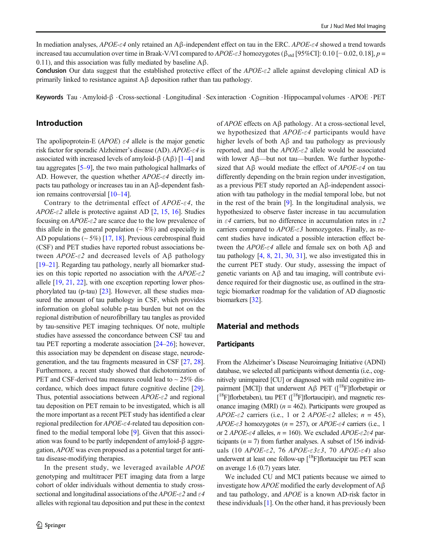In mediation analyses, APOE-ε4 only retained an Aβ-independent effect on tau in the ERC. APOE-ε4 showed a trend towards increased tau accumulation over time in Braak-V/VI compared to  $APOE$ - $\varepsilon$ 3 homozygotes ( $\beta_{\text{std}}$  [95%CI]: 0.10 [− 0.02, 0.18], p = 0.11), and this association was fully mediated by baseline Aβ.

Conclusion Our data suggest that the established protective effect of the  $APOE-\epsilon2$  allele against developing clinical AD is primarily linked to resistance against Aβ deposition rather than tau pathology.

Keywords Tau .Amyloid-β .Cross-sectional .Longitudinal .Sexinteraction .Cognition .Hippocampal volumes .APOE .PET

# Introduction

The apolipoprotein-E (APOE)  $\varepsilon$ 4 allele is the major genetic risk factor for sporadic Alzheimer's disease (AD). APOE-ε4 is associated with increased levels of amyloid- $\beta$  (A $\beta$ ) [[1](#page-10-0)–[4\]](#page-10-0) and tau aggregates [[5](#page-10-0)–[9](#page-10-0)], the two main pathological hallmarks of AD. However, the question whether  $APOE - \epsilon 4$  directly impacts tau pathology or increases tau in an Aβ-dependent fashion remains controversial [\[10](#page-10-0)–[14\]](#page-10-0).

Contrary to the detrimental effect of  $APOE- \epsilon 4$ , the  $APOE-\epsilon2$  allele is protective against AD [[2,](#page-10-0) [15,](#page-10-0) [16](#page-10-0)]. Studies focusing on  $APOE - \epsilon^2$  are scarce due to the low prevalence of this allele in the general population  $($   $\sim$  8% $)$  and especially in AD populations  $({\sim} 5\%)$  [[17,](#page-10-0) [18](#page-10-0)]. Previous cerebrospinal fluid (CSF) and PET studies have reported robust associations between  $APOE-\epsilon2$  and decreased levels of A $\beta$  pathology [\[19](#page-10-0)–[21\]](#page-10-0). Regarding tau pathology, nearly all biomarker studies on this topic reported no association with the  $APOE-\epsilon2$ allele [[19,](#page-10-0) [21,](#page-10-0) [22\]](#page-10-0), with one exception reporting lower phosphorylated tau (p-tau) [\[23](#page-10-0)]. However, all these studies measured the amount of tau pathology in CSF, which provides information on global soluble p-tau burden but not on the regional distribution of neurofibrillary tau tangles as provided by tau-sensitive PET imaging techniques. Of note, multiple studies have assessed the concordance between CSF tau and tau PET reporting a moderate association [\[24](#page-11-0)–[26](#page-11-0)]; however, this association may be dependent on disease stage, neurodegeneration, and the tau fragments measured in CSF [[27](#page-11-0), [28\]](#page-11-0). Furthermore, a recent study showed that dichotomization of PET and CSF-derived tau measures could lead to  $\sim$  25% discordance, which does impact future cognitive decline [[29](#page-11-0)]. Thus, potential associations between  $APOE$ - $\varepsilon$ 2 and regional tau deposition on PET remain to be investigated, which is all the more important as a recent PET study has identified a clear regional predilection for APOE-ε4-related tau deposition con-fined to the medial temporal lobe [\[9](#page-10-0)]. Given that this association was found to be partly independent of amyloid-β aggregation, APOE was even proposed as a potential target for antitau disease-modifying therapies.

In the present study, we leveraged available APOE genotyping and multitracer PET imaging data from a large cohort of older individuals without dementia to study crosssectional and longitudinal associations of the  $APOE - \epsilon2$  and  $\epsilon4$ alleles with regional tau deposition and put these in the context of APOE effects on Aβ pathology. At a cross-sectional level, we hypothesized that  $APOE-\epsilon 4$  participants would have higher levels of both Aβ and tau pathology as previously reported, and that the  $APOE-\epsilon2$  allele would be associated with lower Aβ—but not tau—burden. We further hypothesized that  $\mathbf{A}\beta$  would mediate the effect of  $APOE-\epsilon 4$  on tau differently depending on the brain region under investigation, as a previous PET study reported an Aβ-independent association with tau pathology in the medial temporal lobe, but not in the rest of the brain [\[9\]](#page-10-0). In the longitudinal analysis, we hypothesized to observe faster increase in tau accumulation in  $\varepsilon$ 4 carriers, but no difference in accumulation rates in  $\varepsilon$ 2 carriers compared to  $APOE-\epsilon3$  homozygotes. Finally, as recent studies have indicated a possible interaction effect between the  $APOE$ -ε4 allele and female sex on both  $\text{A}\beta$  and tau pathology [\[4](#page-10-0), [8,](#page-10-0) [21](#page-10-0), [30](#page-11-0), [31\]](#page-11-0), we also investigated this in the current PET study. Our study, assessing the impact of genetic variants on Aβ and tau imaging, will contribute evidence required for their diagnostic use, as outlined in the strategic biomarker roadmap for the validation of AD diagnostic biomarkers [\[32](#page-11-0)].

# Material and methods

#### **Participants**

From the Alzheimer's Disease Neuroimaging Initiative (ADNI) database, we selected all participants without dementia (i.e., cognitively unimpaired [CU] or diagnosed with mild cognitive impairment [MCI]) that underwent Aβ PET ([<sup>18</sup>F]florbetapir or [<sup>18</sup>F]florbetaben), tau PET ([<sup>18</sup>F]flortaucipir), and magnetic resonance imaging (MRI)  $(n = 462)$ . Participants were grouped as APOE- $\epsilon$ 2 carriers (i.e., 1 or 2 APOE- $\epsilon$ 2 alleles; n = 45), APOE- $\epsilon$ 3 homozygotes (n = 257), or APOE- $\epsilon$ 4 carriers (i.e., 1 or 2 APOE- $\epsilon$ 4 alleles,  $n = 160$ ). We excluded APOE- $\epsilon$ 2 $\epsilon$ 4 participants ( $n = 7$ ) from further analyses. A subset of 156 individuals (10 APOE-ε2, 76 APOE-ε3ε3, 70 APOE-ε4) also underwent at least one follow-up  $\int$ <sup>18</sup>F]flortaucipir tau PET scan on average 1.6 (0.7) years later.

We included CU and MCI patients because we aimed to investigate how  $APOE$  modified the early development of  $A\beta$ and tau pathology, and APOE is a known AD-risk factor in these individuals [[1\]](#page-10-0). On the other hand, it has previously been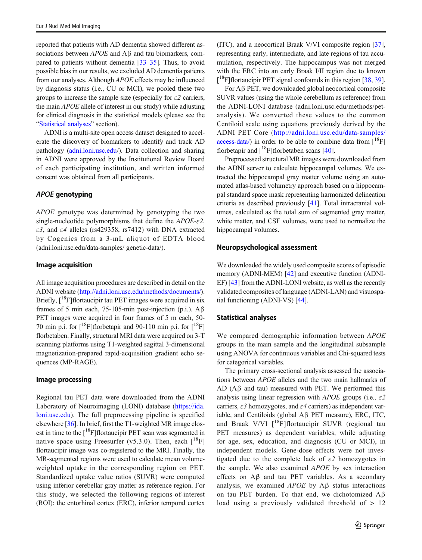reported that patients with AD dementia showed different associations between  $APOE$  and  $A\beta$  and tau biomarkers, compared to patients without dementia [[33](#page-11-0)–[35](#page-11-0)]. Thus, to avoid possible bias in our results, we excluded AD dementia patients from our analyses. Although APOE effects may be influenced by diagnosis status (i.e., CU or MCI), we pooled these two groups to increase the sample size (especially for  $\epsilon$ 2 carriers, the main APOE allele of interest in our study) while adjusting for clinical diagnosis in the statistical models (please see the "Statistical analyses" section).

ADNI is a multi-site open access dataset designed to accelerate the discovery of biomarkers to identify and track AD pathology ([adni.loni.usc.edu/](http://adni.loni.usc.edu/)). Data collection and sharing in ADNI were approved by the Institutional Review Board of each participating institution, and written informed consent was obtained from all participants.

## APOE genotyping

APOE genotype was determined by genotyping the two single-nucleotide polymorphisms that define the  $APOE-\epsilon2$ , ε3, and ε4 alleles (rs429358, rs7412) with DNA extracted by Cogenics from a 3-mL aliquot of EDTA blood (adni.loni.usc.edu/data-samples/ genetic-data/).

#### Image acquisition

All image acquisition procedures are described in detail on the ADNI website [\(http://adni.loni.usc.edu/methods/documents/\)](http://adni.loni.usc.edu/methods/documents/). Briefly,  $\lceil \sqrt[18]{F} \rceil$ flortaucipir tau PET images were acquired in six frames of 5 min each, 75-105-min post-injection (p.i.). Aβ PET images were acquired in four frames of 5 m each, 50- 70 min p.i. for  $\lceil^{18}F\rfloor$ florbetapir and 90-110 min p.i. for  $\lceil^{18}F\rceil$ florbetaben. Finally, structural MRI data were acquired on 3-T scanning platforms using T1-weighted sagittal 3-dimensional magnetization-prepared rapid-acquisition gradient echo sequences (MP-RAGE).

## Image processing

Regional tau PET data were downloaded from the ADNI Laboratory of Neuroimaging (LONI) database [\(https://ida.](https://ida.loni.usc.edu/) [loni.usc.edu\)](https://ida.loni.usc.edu/). The full preprocessing pipeline is specified elsewhere [[36\]](#page-11-0). In brief, first the T1-weighted MR image closest in time to the  $[{}^{18}F]$ flortaucipir PET scan was segmented in native space using Freesurfer (v5.3.0). Then, each  $\binom{18}{1}$ flortaucipir image was co-registered to the MRI. Finally, the MR-segmented regions were used to calculate mean volumeweighted uptake in the corresponding region on PET. Standardized uptake value ratios (SUVR) were computed using inferior cerebellar gray matter as reference region. For this study, we selected the following regions-of-interest (ROI): the entorhinal cortex (ERC), inferior temporal cortex (ITC), and a neocortical Braak V/VI composite region [[37\]](#page-11-0), representing early, intermediate, and late regions of tau accumulation, respectively. The hippocampus was not merged with the ERC into an early Braak I/II region due to known [<sup>18</sup>F]flortaucipir PET signal confounds in this region [\[38](#page-11-0), [39\]](#page-11-0).

For Aβ PET, we downloaded global neocortical composite SUVR values (using the whole cerebellum as reference) from the ADNI-LONI database (adni.loni.usc.edu/methods/petanalysis). We converted these values to the common Centiloid scale using equations previously derived by the ADNI PET Core [\(http://adni.loni.usc.edu/data-samples/](http://adni.loni.usc.edu/data-samples/access-data/) [access-data/](http://adni.loni.usc.edu/data-samples/access-data/)) in order to be able to combine data from  $\binom{18}{1}$ florbetapir and  $\lceil {^{18}F} \rceil$ florbetaben scans [\[40\]](#page-11-0).

Preprocessed structural MR images were downloaded from the ADNI server to calculate hippocampal volumes. We extracted the hippocampal gray matter volume using an automated atlas-based volumetry approach based on a hippocampal standard space mask representing harmonized delineation criteria as described previously [[41](#page-11-0)]. Total intracranial volumes, calculated as the total sum of segmented gray matter, white matter, and CSF volumes, were used to normalize the hippocampal volumes.

#### Neuropsychological assessment

We downloaded the widely used composite scores of episodic memory (ADNI-MEM) [\[42\]](#page-11-0) and executive function (ADNI-EF) [[43](#page-11-0)] from the ADNI-LONI website, as well as the recently validated composites of language (ADNI-LAN) and visuospatial functioning (ADNI-VS) [\[44\]](#page-11-0).

#### Statistical analyses

We compared demographic information between APOE groups in the main sample and the longitudinal subsample using ANOVA for continuous variables and Chi-squared tests for categorical variables.

The primary cross-sectional analysis assessed the associations between APOE alleles and the two main hallmarks of AD ( $A\beta$  and tau) measured with PET. We performed this analysis using linear regression with APOE groups (i.e.,  $\varepsilon$ 2 carriers,  $\epsilon$ 3 homozygotes, and  $\epsilon$ 4 carriers) as independent variable, and Centiloids (global Aβ PET measure), ERC, ITC, and Braak V/VI  $\int_0^{18}F\left| \text{flortaucipir} \text{SUVR} \right|$  (regional tau PET measures) as dependent variables, while adjusting for age, sex, education, and diagnosis (CU or MCI), in independent models. Gene-dose effects were not investigated due to the complete lack of  $\varepsilon$ 2 homozygotes in the sample. We also examined APOE by sex interaction effects on Aβ and tau PET variables. As a secondary analysis, we examined  $APOE$  by  $A\beta$  status interactions on tau PET burden. To that end, we dichotomized Aβ load using a previously validated threshold of  $> 12$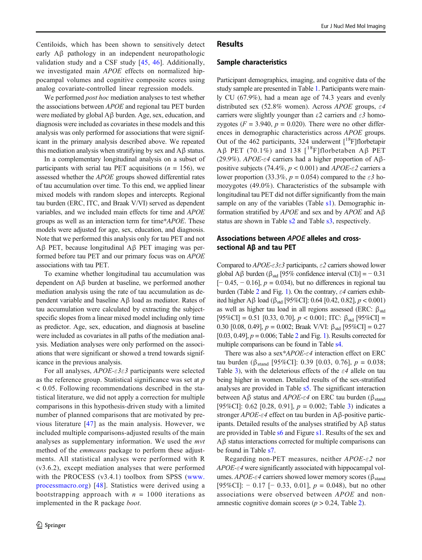Centiloids, which has been shown to sensitively detect early Aβ pathology in an independent neuropathologic validation study and a CSF study [[45](#page-11-0), [46\]](#page-11-0). Additionally, we investigated main APOE effects on normalized hippocampal volumes and cognitive composite scores using analog covariate-controlled linear regression models.

We performed *post hoc* mediation analyses to test whether the associations between APOE and regional tau PET burden were mediated by global Aβ burden. Age, sex, education, and diagnosis were included as covariates in these models and this analysis was only performed for associations that were significant in the primary analysis described above. We repeated this mediation analysis when stratifying by sex and  $Aβ$  status.

In a complementary longitudinal analysis on a subset of participants with serial tau PET acquisitions ( $n = 156$ ), we assessed whether the APOE groups showed differential rates of tau accumulation over time. To this end, we applied linear mixed models with random slopes and intercepts. Regional tau burden (ERC, ITC, and Braak V/VI) served as dependent variables, and we included main effects for time and APOE groups as well as an interaction term for time\*APOE. These models were adjusted for age, sex, education, and diagnosis. Note that we performed this analysis only for tau PET and not Aβ PET, because longitudinal Aβ PET imaging was performed before tau PET and our primary focus was on APOE associations with tau PET.

To examine whether longitudinal tau accumulation was dependent on Aβ burden at baseline, we performed another mediation analysis using the rate of tau accumulation as dependent variable and baseline Aβ load as mediator. Rates of tau accumulation were calculated by extracting the subjectspecific slopes from a linear mixed model including only time as predictor. Age, sex, education, and diagnosis at baseline were included as covariates in all paths of the mediation analysis. Mediation analyses were only performed on the associations that were significant or showed a trend towards significance in the previous analysis.

For all analyses,  $APOE - \epsilon 3\varepsilon 3$  participants were selected as the reference group. Statistical significance was set at p < 0.05. Following recommendations described in the statistical literature, we did not apply a correction for multiple comparisons in this hypothesis-driven study with a limited number of planned comparisons that are motivated by previous literature [[47](#page-11-0)] as the main analysis. However, we included multiple comparisons-adjusted results of the main analyses as supplementary information. We used the mvt method of the emmeans package to perform these adjustments. All statistical analyses were performed with R (v3.6.2), except mediation analyses that were performed with the PROCESS (v3.4.1) toolbox from SPSS ([www.](http://www.processmacro.org) [processmacro.org\)](http://www.processmacro.org) [[48](#page-11-0)]. Statistics were derived using a bootstrapping approach with  $n = 1000$  iterations as implemented in the R package *boot*.

## Results

#### Sample characteristics

Participant demographics, imaging, and cognitive data of the study sample are presented in Table [1](#page-4-0). Participants were mainly CU (67.9%), had a mean age of 74.3 years and evenly distributed sex (52.8% women). Across APOE groups,  $\varepsilon$ 4 carriers were slightly younger than  $\epsilon$ 2 carriers and  $\epsilon$ 3 homozygotes ( $F = 3.940$ ,  $p = 0.020$ ). There were no other differences in demographic characteristics across APOE groups. Out of the 462 participants, 324 underwent  $\int_{0}^{18}$ F]florbetapir Aβ PET (70.1%) and 138 [<sup>18</sup>F]florbetaben Aβ PET (29.9%). APOE-ε4 carriers had a higher proportion of Aβpositive subjects (74.4%,  $p < 0.001$ ) and APOE- $\epsilon$ 2 carriers a lower proportion (33.3%,  $p = 0.054$ ) compared to the  $\varepsilon 3$  homozygotes (49.0%). Characteristics of the subsample with longitudinal tau PET did not differ significantly from the main sample on any of the variables (Table s1). Demographic information stratified by  $APOE$  and sex and by  $APOE$  and  $A\beta$ status are shown in Table s2 and Table s3, respectively.

# Associations between APOE alleles and crosssectional Aβ and tau PET

Compared to  $APOE-\varepsilon3\varepsilon3$  participants,  $\varepsilon2$  carriers showed lower global Aβ burden ( $\beta_{std}$  [95% confidence interval (CI)] = -0.31  $[-0.45, -0.16]$ ,  $p = 0.034$ ), but no differences in regional tau burden (Table [2](#page-4-0) and Fig. [1](#page-5-0)). On the contrary,  $\varepsilon$ 4 carriers exhibited higher Aβ load (β<sub>std</sub> [95%CI]: 0.64 [0.42, 0.82],  $p < 0.001$ ) as well as higher tau load in all regions assessed (ERC:  $\beta_{std}$ )  $[95\%CI] = 0.51$   $[0.33, 0.70]$ ,  $p < 0.001$ ; ITC:  $\beta_{std}$   $[95\%CI] =$ 0.30 [0.08, 0.49],  $p = 0.002$ ; Braak V/VI:  $\beta_{std}$  [95%CI] = 0.27 [0.03, 0.49],  $p = 0.006$ ; Table [2](#page-4-0) and Fig. [1\)](#page-5-0). Results corrected for multiple comparisons can be found in Table s4.

There was also a sex\* $APOE$ - $\varepsilon$ 4 interaction effect on ERC tau burden (β<sub>stand</sub> [95%CI]: 0.39 [0.03, 0.76],  $p = 0.038$ ; Table [3](#page-5-0)), with the deleterious effects of the  $\varepsilon$ 4 allele on tau being higher in women. Detailed results of the sex-stratified analyses are provided in Table s5. The significant interaction between Aβ status and APOE-ε4 on ERC tau burden ( $β<sub>stand</sub>$ ) [95%CI]: 0.62 [0.28, 0.91],  $p = 0.002$ ; Table [3](#page-5-0)) indicates a stronger  $APOE$ - $\varepsilon$ 4 effect on tau burden in A $\beta$ -positive participants. Detailed results of the analyses stratified by Aβ status are provided in Table s6 and Figure s1. Results of the sex and Aβ status interactions corrected for multiple comparisons can be found in Table s7.

Regarding non-PET measures, neither  $APOE-\epsilon2$  nor  $APOE-\epsilon 4$  were significantly associated with hippocampal volumes. APOE-ε4 carriers showed lower memory scores ( $β<sub>stand</sub>$ [95%CI]:  $-$  0.17 [ $-$  0.33, 0.01],  $p = 0.048$ ), but no other associations were observed between APOE and nonamnestic cognitive domain scores ( $p > 0.24$ , Table [2\)](#page-4-0).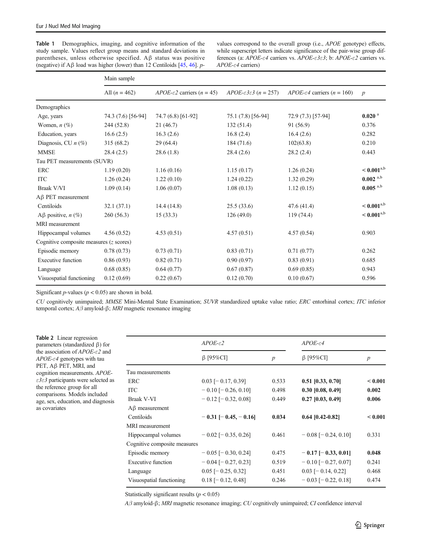<span id="page-4-0"></span>Table 1 Demographics, imaging, and cognitive information of the study sample. Values reflect group means and standard deviations in parentheses, unless otherwise specified. Aβ status was positive (negative) if  $A\beta$  load was higher (lower) than 12 Centiloids [\[45](#page-11-0), [46](#page-11-0)]. pvalues correspond to the overall group (i.e., APOE genotype) effects, while superscript letters indicate significance of the pair-wise group differences (a:  $APOE-\epsilon 4$  carriers vs.  $APOE-\epsilon 3\epsilon 3$ ; b:  $APOE-\epsilon 2$  carriers vs. APOE-ε4 carriers)

|                                                   | Main sample        |                                              |                                       |                                          |                        |  |  |
|---------------------------------------------------|--------------------|----------------------------------------------|---------------------------------------|------------------------------------------|------------------------|--|--|
|                                                   | All $(n = 462)$    | APOE- $\epsilon$ 2 carriers ( <i>n</i> = 45) | $APOE-\epsilon 3\epsilon 3$ (n = 257) | APOE- $\varepsilon$ 4 carriers (n = 160) | $\boldsymbol{p}$       |  |  |
| Demographics                                      |                    |                                              |                                       |                                          |                        |  |  |
| Age, years                                        | 74.3 (7.6) [56-94] | 74.7 (6.8) [61-92]                           | 75.1 (7.8) [56-94]                    | 72.9 (7.3) [57-94]                       | $0.020$ <sup>a</sup>   |  |  |
| Women, $n$ $(\%)$                                 | 244 (52.8)         | 21(46.7)                                     | 132(51.4)                             | 91(56.9)                                 | 0.376                  |  |  |
| Education, years                                  | 16.6(2.5)          | 16.3(2.6)                                    | 16.8(2.4)                             | 16.4(2.6)                                | 0.282                  |  |  |
| Diagnosis, CU $n$ (%)                             | 315 (68.2)         | 29(64.4)                                     | 184 (71.6)                            | 102(63.8)                                | 0.210                  |  |  |
| <b>MMSE</b>                                       | 28.4(2.5)          | 28.6(1.8)                                    | 28.4(2.6)                             | 28.2(2.4)                                | 0.443                  |  |  |
| Tau PET measurements (SUVR)                       |                    |                                              |                                       |                                          |                        |  |  |
| <b>ERC</b>                                        | 1.19(0.20)         | 1.16(0.16)                                   | 1.15(0.17)                            | 1.26(0.24)                               | $< 0.001^{a,b}$        |  |  |
| <b>ITC</b>                                        | 1.26(0.24)         | 1.22(0.10)                                   | 1.24(0.22)                            | 1.32(0.29)                               | $0.002$ <sup>a,b</sup> |  |  |
| Braak V/VI                                        | 1.09(0.14)         | 1.06(0.07)                                   | 1.08(0.13)                            | 1.12(0.15)                               | $0.005$ <sup>a,b</sup> |  |  |
| $A\beta$ PET measurement                          |                    |                                              |                                       |                                          |                        |  |  |
| Centiloids                                        | 32.1(37.1)         | 14.4(14.8)                                   | 25.5(33.6)                            | 47.6(41.4)                               | $< 0.001^{a,b}$        |  |  |
| A $\beta$ positive, n $(\%)$                      | 260 (56.3)         | 15(33.3)                                     | 126(49.0)                             | 119 (74.4)                               | $< 0.001^{\rm a,b}$    |  |  |
| MRI measurement                                   |                    |                                              |                                       |                                          |                        |  |  |
| Hippocampal volumes                               | 4.56(0.52)         | 4.53(0.51)                                   | 4.57(0.51)                            | 4.57(0.54)                               | 0.903                  |  |  |
| Cognitive composite measures $(z \text{ scores})$ |                    |                                              |                                       |                                          |                        |  |  |
| Episodic memory                                   | 0.78(0.73)         | 0.73(0.71)                                   | 0.83(0.71)                            | 0.71(0.77)                               | 0.262                  |  |  |
| <b>Executive function</b>                         | 0.86(0.93)         | 0.82(0.71)                                   | 0.90(0.97)                            | 0.83(0.91)                               | 0.685                  |  |  |
| Language                                          | 0.68(0.85)         | 0.64(0.77)                                   | 0.67(0.87)                            | 0.69(0.85)                               | 0.943                  |  |  |
| Visuospatial functioning                          | 0.12(0.69)         | 0.22(0.67)                                   | 0.12(0.70)                            | 0.10(0.67)                               | 0.596                  |  |  |

Significant  $p$ -values ( $p < 0.05$ ) are shown in bold.

CU cognitively unimpaired; MMSE Mini-Mental State Examination; SUVR standardized uptake value ratio; ERC entorhinal cortex; ITC inferior temporal cortex; Aβ amyloid-β; MRI magnetic resonance imaging

Table 2 Linear regression parameters (standardized β) for the association of APOE-ε2 and APOE-ε4 genotypes with tau PET, Aβ PET, MRI, and cognition measurements. APOEε3ε3 participants were selected as the reference group for all comparisons. Models included age, sex, education, and diagnosis as covariates

|                              | $APOE - \varepsilon2$     |                  | $APOE$ - $\varepsilon$ 4  |                  |  |  |  |
|------------------------------|---------------------------|------------------|---------------------------|------------------|--|--|--|
|                              | $\beta$ [95%CI]           | $\boldsymbol{p}$ | $\beta$ [95%CI]           | $\boldsymbol{p}$ |  |  |  |
| Tau measurements             |                           |                  |                           |                  |  |  |  |
| ERC                          | $0.03$ [ $-0.17, 0.39$ ]  | 0.533            | $0.51$ [0.33, 0.70]       | < 0.001          |  |  |  |
| <b>ITC</b>                   | $-0.10$ [ $-0.26$ , 0.10] | 0.498            | $0.30$ [0.08, 0.49]       | 0.002            |  |  |  |
| Braak V-VI                   | $-0.12$ [ $-0.32, 0.08$ ] | 0.449            | $0.27$ [0.03, 0.49]       | 0.006            |  |  |  |
| $A\beta$ measurement         |                           |                  |                           |                  |  |  |  |
| Centiloids                   | $-0.31$ [-0.45, -0.16]    | 0.034            | $0.64$ [0.42-0.82]        | < 0.001          |  |  |  |
| MRI measurement              |                           |                  |                           |                  |  |  |  |
| Hippocampal volumes          | $-0.02$ [ $-0.35, 0.26$ ] | 0.461            | $-0.08$ [ $-0.24$ , 0.10] | 0.331            |  |  |  |
| Cognitive composite measures |                           |                  |                           |                  |  |  |  |
| Episodic memory              | $-0.05$ [ $-0.30, 0.24$ ] | 0.475            | $-0.17$ [ $-0.33, 0.01$ ] | 0.048            |  |  |  |
| Executive function           | $-0.04$ [ $-0.27, 0.23$ ] | 0.519            | $-0.10$ [ $-0.27, 0.07$ ] | 0.241            |  |  |  |
| Language                     | $0.05$ [ $-0.25, 0.32$ ]  | 0.451            | $0.03$ [ $-0.14$ , 0.22]  | 0.468            |  |  |  |
| Visuospatial functioning     | $0.18$ [- 0.12, 0.48]     | 0.246            | $-0.03$ [ $-0.22$ , 0.18] | 0.474            |  |  |  |

Statistically significant results ( $p < 0.05$ )

 $Aβ$  amyloid-β; MRI magnetic resonance imaging; CU cognitively unimpaired; CI confidence interval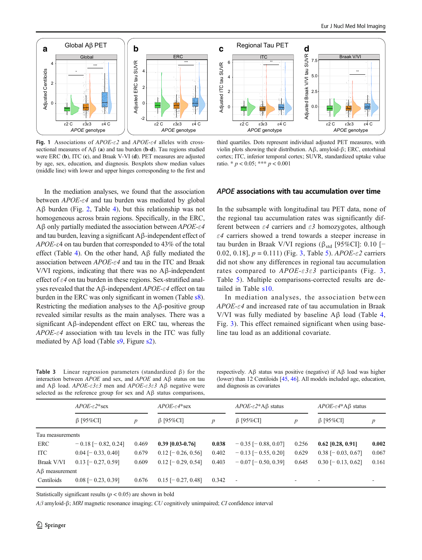<span id="page-5-0"></span>

Fig. 1 Associations of  $APOE-\epsilon2$  and  $APOE-\epsilon4$  alleles with crosssectional measures of  $\overrightarrow{AB}$  (a) and tau burden (b-d). Tau regions studied were ERC (b), ITC (c), and Braak V-VI (d). PET measures are adjusted by age, sex, education, and diagnosis. Boxplots show median values (middle line) with lower and upper hinges corresponding to the first and

third quartiles. Dots represent individual adjusted PET measures, with violin plots showing their distribution. Aβ, amyloid-β; ERC, entorhinal cortex; ITC, inferior temporal cortex; SUVR, standardized uptake value ratio.  $* p < 0.05$ ;  $** p < 0.001$ 

## APOE associations with tau accumulation over time

In the mediation analyses, we found that the association between  $APOE-\varepsilon4$  and tau burden was mediated by global Aβ burden (Fig. [2,](#page-6-0) Table [4](#page-6-0)), but this relationship was not homogeneous across brain regions. Specifically, in the ERC, Aβ only partially mediated the association between  $APOE - \epsilon 4$ and tau burden, leaving a significant Aβ-independent effect of APOE-ε4 on tau burden that corresponded to 43% of the total effect (Table [4](#page-6-0)). On the other hand, Aβ fully mediated the association between  $APOE$ - $\varepsilon$ 4 and tau in the ITC and Braak V/VI regions, indicating that there was no Aβ-independent effect of  $\varepsilon$ 4 on tau burden in these regions. Sex-stratified analyses revealed that the Aβ-independent  $APOE - ε$ 4 effect on tau burden in the ERC was only significant in women (Table s8). Restricting the mediation analyses to the  $A\beta$ -positive group revealed similar results as the main analyses. There was a significant Aβ-independent effect on ERC tau, whereas the  $APOE-\epsilon 4$  association with tau levels in the ITC was fully mediated by  $\mathbf{A}\beta$  load (Table s9, Figure s2).

In the subsample with longitudinal tau PET data, none of the regional tau accumulation rates was significantly different between  $\varepsilon$ 4 carriers and  $\varepsilon$ 3 homozygotes, although ε4 carriers showed a trend towards a steeper increase in tau burden in Braak V/VI regions ( $\beta_{std}$  [95%CI]: 0.10 [-0.02, 0.18],  $p = 0.111$ ) (Fig. [3](#page-7-0), Table [5](#page-7-0)). APOE- $\epsilon$ 2 carriers did not show any differences in regional tau accumulation rates compared to  $APOE - \epsilon 3\epsilon 3$  participants (Fig. [3,](#page-7-0) Table [5\)](#page-7-0). Multiple comparisons-corrected results are detailed in Table s10.

In mediation analyses, the association between  $APOE$ - $\epsilon$ 4 and increased rate of tau accumulation in Braak V/VI was fully mediated by baseline Aβ load (Table [4,](#page-6-0) Fig. [3](#page-7-0)). This effect remained significant when using baseline tau load as an additional covariate.

Table 3 Linear regression parameters (standardized β) for the interaction between  $APOE$  and sex, and  $APOE$  and  $A\beta$  status on tau and  $A\beta$  load.  $APOE - \varepsilon 3\varepsilon 3$  men and  $APOE - \varepsilon 3\varepsilon 3$   $A\beta$  negative were selected as the reference group for sex and  $A\beta$  status comparisons

respectively. Aβ status was positive (negative) if Aβ load was higher (lower) than 12 Centiloids [[45,](#page-11-0) [46\]](#page-11-0). All models included age, education, and diagnosis as covariates

|                      | $APOE$ - $\varepsilon$ 2*sex |                  | $APOE$ - $\varepsilon$ 4*sex |                  | $APOE-\epsilon 2*A\beta$ status |                  | $APOE-\epsilon 4*A\beta$ status |                  |
|----------------------|------------------------------|------------------|------------------------------|------------------|---------------------------------|------------------|---------------------------------|------------------|
|                      | $\beta$ [95%CI]              | $\boldsymbol{p}$ | $β$ [95%CI]                  | $\boldsymbol{p}$ | $\beta$ [95%CI]                 | $\boldsymbol{p}$ | $\beta$ [95%CI]                 | $\boldsymbol{p}$ |
| Tau measurements     |                              |                  |                              |                  |                                 |                  |                                 |                  |
| ERC                  | $-0.18$ [ $-0.82$ , 0.24]    | 0.469            | $0.39$ [0.03-0.76]           | 0.038            | $-0.35$ [ $-0.88, 0.07$ ]       | 0.256            | $0.62$ [0.28, 0.91]             | 0.002            |
| <b>ITC</b>           | $0.04$ [- 0.33, 0.40]        | 0.679            | $0.12$ [- 0.26, 0.56]        | 0.402            | $-0.13$ [ $-0.55$ , 0.20]       | 0.629            | $0.38$ [ $-0.03$ , 0.67]        | 0.067            |
| Braak V/VI           | $0.13$ [ $-0.27, 0.59$ ]     | 0.609            | $0.12$ [- 0.29, 0.54]        | 0.403            | $-0.07$ [ $-0.50, 0.39$ ]       | 0.645            | $0.30$ [-0.13, 0.62]            | 0.161            |
| $A\beta$ measurement |                              |                  |                              |                  |                                 |                  |                                 |                  |
| Centiloids           | $0.08$ [ $-0.23, 0.39$ ]     | 0.676            | $0.15$ [ $-0.27, 0.48$ ]     | 0.342            |                                 | ٠                | -                               |                  |

Statistically significant results ( $p < 0.05$ ) are shown in bold

 $A\beta$  amyloid-β; MRI magnetic resonance imaging; CU cognitively unimpaired; CI confidence interval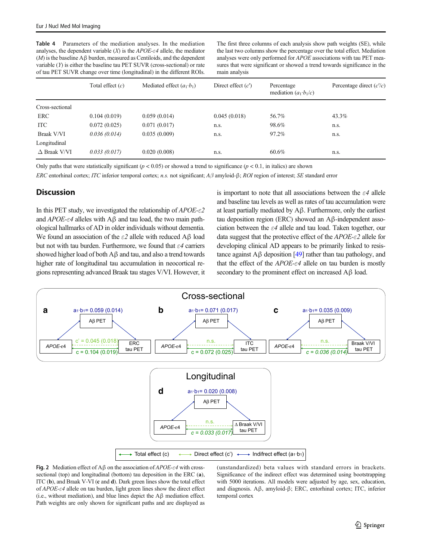<span id="page-6-0"></span>Table 4 Parameters of the mediation analyses. In the mediation analyses, the dependent variable  $(X)$  is the APOE- $\epsilon$ 4 allele, the mediator (M) is the baseline Aβ burden, measured as Centiloids, and the dependent variable  $(Y)$  is either the baseline tau PET SUVR (cross-sectional) or rate of tau PET SUVR change over time (longitudinal) in the different ROIs.

The first three columns of each analysis show path weights (SE), while the last two columns show the percentage over the total effect. Mediation analyses were only performed for APOE associations with tau PET measures that were significant or showed a trend towards significance in the main analysis

|                     | Total effect $(c)$ | Mediated effect $(a_1 \cdot b_1)$ | Direct effect $(c')$ | Percentage<br>mediation $(a_1 \cdot b_1/c)$ | Percentage direct $(c'/c)$ |
|---------------------|--------------------|-----------------------------------|----------------------|---------------------------------------------|----------------------------|
| Cross-sectional     |                    |                                   |                      |                                             |                            |
| ERC                 | 0.104(0.019)       | 0.059(0.014)                      | 0.045(0.018)         | 56.7%                                       | 43.3%                      |
| <b>ITC</b>          | 0.072(0.025)       | 0.071(0.017)                      | n.s.                 | 98.6%                                       | n.s.                       |
| Braak V/VI          | 0.036(0.014)       | 0.035(0.009)                      | n.s.                 | 97.2%                                       | n.s.                       |
| Longitudinal        |                    |                                   |                      |                                             |                            |
| $\Delta$ Braak V/VI | 0.033(0.017)       | 0.020(0.008)                      | n.s.                 | 60.6%                                       | n.s.                       |

Only paths that were statistically significant ( $p < 0.05$ ) or showed a trend to significance ( $p < 0.1$ , in italics) are shown

ERC entorhinal cortex; ITC inferior temporal cortex; n.s. not significant; Aβ amyloid-β; ROI region of interest; SE standard error

## **Discussion**

In this PET study, we investigated the relationship of  $APOE-\epsilon2$ and  $APOE-\epsilon 4$  alleles with A $\beta$  and tau load, the two main pathological hallmarks of AD in older individuals without dementia. We found an association of the  $\varepsilon$ 2 allele with reduced Aβ load but not with tau burden. Furthermore, we found that  $\varepsilon$ 4 carriers showed higher load of both Aβ and tau, and also a trend towards higher rate of longitudinal tau accumulation in neocortical regions representing advanced Braak tau stages V/VI. However, it is important to note that all associations between the  $\varepsilon$ 4 allele and baseline tau levels as well as rates of tau accumulation were at least partially mediated by Aβ. Furthermore, only the earliest tau deposition region (ERC) showed an Aβ-independent association between the  $\varepsilon$ 4 allele and tau load. Taken together, our data suggest that the protective effect of the  $APOE-\epsilon2$  allele for developing clinical AD appears to be primarily linked to resistance against  $A\beta$  deposition [\[49](#page-11-0)] rather than tau pathology, and that the effect of the  $APOE$ - $\varepsilon$ 4 allele on tau burden is mostly secondary to the prominent effect on increased Aβ load.



**Fig. 2** Mediation effect of Aβ on the association of APOE-ε4 with crosssectional (top) and longitudinal (bottom) tau deposition in the ERC (a), ITC (b), and Braak V-VI (c and d). Dark green lines show the total effect of APOE-ε4 allele on tau burden, light green lines show the direct effect (i.e., without mediation), and blue lines depict the  $\mathcal{A}\beta$  mediation effect. Path weights are only shown for significant paths and are displayed as

(unstandardized) beta values with standard errors in brackets. Significance of the indirect effect was determined using bootstrapping with 5000 iterations. All models were adjusted by age, sex, education, and diagnosis. Aβ, amyloid-β; ERC, entorhinal cortex; ITC, inferior temporal cortex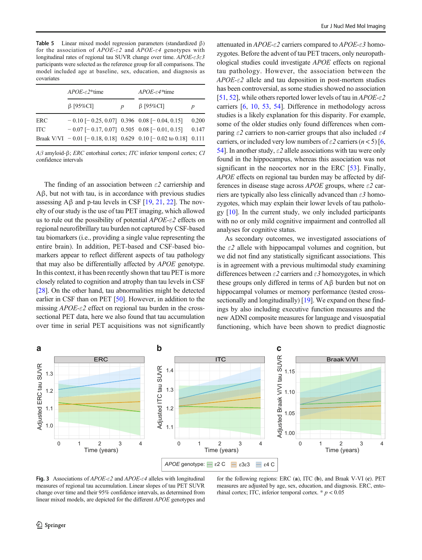<span id="page-7-0"></span>Table 5 Linear mixed model regression parameters (standardized β) for the association of  $APOE-\epsilon2$  and  $APOE-\epsilon4$  genotypes with longitudinal rates of regional tau SUVR change over time.  $APOE$ -ε3ε3 participants were selected as the reference group for all comparisons. The model included age at baseline, sex, education, and diagnosis as covariates

|            | $APOE$ - $\varepsilon$ 2*time                                            |                  | $APOE$ - $\varepsilon$ 4*time |       |  |
|------------|--------------------------------------------------------------------------|------------------|-------------------------------|-------|--|
|            | $\beta$ [95%CI]                                                          | $\boldsymbol{D}$ | $\beta$ [95%CI]               | р     |  |
| ERC        | $-0.10$ [ $-0.25$ , 0.07] 0.396 0.08 [ $-0.04$ , 0.15]                   |                  |                               | 0.200 |  |
| <b>ITC</b> | $-0.07$ [-0.17, 0.07] 0.505 0.08 [-0.01, 0.15]                           |                  |                               | 0.147 |  |
|            | Braak V/VI $-0.01$ [ $-0.18$ , 0.18] 0.629 0.10 [ $-0.02$ to 0.18] 0.111 |                  |                               |       |  |

Aβ amyloid-β; ERC entorhinal cortex; ITC inferior temporal cortex; CI confidence intervals

The finding of an association between  $\varepsilon$ 2 carriership and Aβ, but not with tau, is in accordance with previous studies assessing  $\widehat{AB}$  and p-tau levels in CSF [[19,](#page-10-0) [21,](#page-10-0) [22\]](#page-10-0). The novelty of our study is the use of tau PET imaging, which allowed us to rule out the possibility of potential  $APOE-\epsilon2$  effects on regional neurofibrillary tau burden not captured by CSF-based tau biomarkers (i.e., providing a single value representing the entire brain). In addition, PET-based and CSF-based biomarkers appear to reflect different aspects of tau pathology that may also be differentially affected by APOE genotype. In this context, it has been recently shown that tau PET is more closely related to cognition and atrophy than tau levels in CSF [\[28\]](#page-11-0). On the other hand, tau abnormalities might be detected earlier in CSF than on PET [[50](#page-11-0)]. However, in addition to the missing  $APOE$ - $\varepsilon$ 2 effect on regional tau burden in the crosssectional PET data, here we also found that tau accumulation over time in serial PET acquisitions was not significantly

attenuated in  $APOE$ -ε2 carriers compared to  $APOE$ -ε3 homozygotes. Before the advent of tau PET tracers, only neuropathological studies could investigate APOE effects on regional tau pathology. However, the association between the  $APOE-\epsilon2$  allele and tau deposition in post-mortem studies has been controversial, as some studies showed no association [\[51](#page-11-0), [52](#page-11-0)], while others reported lower levels of tau in  $APOE - \epsilon^2$ carriers [[6,](#page-10-0) [10,](#page-10-0) [53](#page-11-0), [54](#page-11-0)]. Difference in methodology across studies is a likely explanation for this disparity. For example, some of the older studies only found differences when comparing  $\epsilon$ 2 carriers to non-carrier groups that also included  $\epsilon$ 4 carriers, or included very low numbers of  $\epsilon$ 2 carriers (n < 5) [[6,](#page-10-0) [54\]](#page-11-0). In another study,  $\varepsilon$  allele associations with tau were only found in the hippocampus, whereas this association was not significant in the neocortex nor in the ERC [[53\]](#page-11-0). Finally, APOE effects on regional tau burden may be affected by differences in disease stage across  $APOE$  groups, where  $\varepsilon$ 2 carriers are typically also less clinically advanced than  $\epsilon$ 3 homozygotes, which may explain their lower levels of tau pathology [[10](#page-10-0)]. In the current study, we only included participants with no or only mild cognitive impairment and controlled all analyses for cognitive status.

As secondary outcomes, we investigated associations of the  $\epsilon$ 2 allele with hippocampal volumes and cognition, but we did not find any statistically significant associations. This is in agreement with a previous multimodal study examining differences between  $\varepsilon$ 2 carriers and  $\varepsilon$ 3 homozygotes, in which these groups only differed in terms of Aβ burden but not on hippocampal volumes or memory performance (tested cross-sectionally and longitudinally) [[19](#page-10-0)]. We expand on these findings by also including executive function measures and the new ADNI composite measures for language and visuospatial functioning, which have been shown to predict diagnostic



Fig. 3 Associations of  $APOE$ - $\varepsilon$ 2 and  $APOE$ - $\varepsilon$ 4 alleles with longitudinal measures of regional tau accumulation. Linear slopes of tau PET SUVR change over time and their 95% confidence intervals, as determined from linear mixed models, are depicted for the different APOE genotypes and

for the following regions: ERC (a), ITC (b), and Braak V-VI (c). PET measures are adjusted by age, sex, education, and diagnosis. ERC, entorhinal cortex; ITC, inferior temporal cortex.  $* p < 0.05$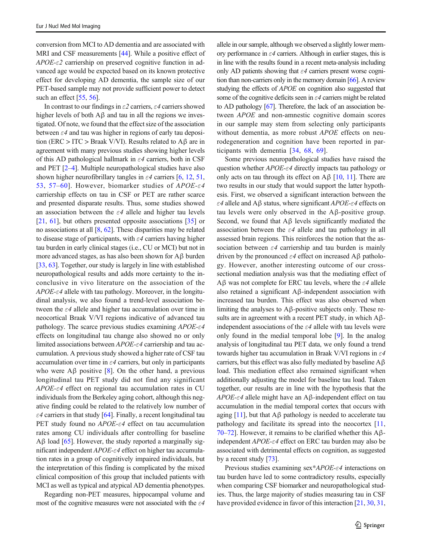conversion from MCI to AD dementia and are associated with MRI and CSF measurements [\[44\]](#page-11-0). While a positive effect of  $APOE-\epsilon2$  carriership on preserved cognitive function in advanced age would be expected based on its known protective effect for developing AD dementia, the sample size of our PET-based sample may not provide sufficient power to detect such an effect [[55,](#page-11-0) [56](#page-11-0)].

In contrast to our findings in  $\epsilon^2$  carriers,  $\epsilon^4$  carriers showed higher levels of both Aβ and tau in all the regions we investigated. Of note, we found that the effect size of the association between  $\varepsilon$ 4 and tau was higher in regions of early tau deposition (ERC > ITC > Braak V/VI). Results related to  $A\beta$  are in agreement with many previous studies showing higher levels of this AD pathological hallmark in  $\varepsilon$ 4 carriers, both in CSF and PET [\[2](#page-10-0)–[4\]](#page-10-0). Multiple neuropathological studies have also shown higher neurofibrillary tangles in  $\varepsilon$ 4 carriers [\[6,](#page-10-0) [12,](#page-10-0) [51,](#page-11-0) [53,](#page-11-0) [57](#page-11-0)–[60\]](#page-12-0). However, biomarker studies of  $APOE - \epsilon 4$ carriership effects on tau in CSF or PET are rather scarce and presented disparate results. Thus, some studies showed an association between the  $\varepsilon$ 4 allele and higher tau levels [\[21](#page-10-0), [61\]](#page-12-0), but others presented opposite associations [\[35](#page-11-0)] or no associations at all [\[8,](#page-10-0) [62](#page-12-0)]. These disparities may be related to disease stage of participants, with  $\varepsilon$ 4 carriers having higher tau burden in early clinical stages (i.e., CU or MCI) but not in more advanced stages, as has also been shown for Aβ burden [\[33,](#page-11-0) [63](#page-12-0)]. Together, our study is largely in line with established neuropathological results and adds more certainty to the inconclusive in vivo literature on the association of the  $APOE$ - $\varepsilon$ 4 allele with tau pathology. Moreover, in the longitudinal analysis, we also found a trend-level association between the  $\varepsilon$ 4 allele and higher tau accumulation over time in neocortical Braak V/VI regions indicative of advanced tau pathology. The scarce previous studies examining  $APOE-\epsilon 4$ effects on longitudinal tau change also showed no or only limited associations between  $APOE$ - $\varepsilon$ 4 carriership and tau accumulation. A previous study showed a higher rate of CSF tau accumulation over time in  $\varepsilon$ 4 carriers, but only in participants who were  $\mathbf{A}\beta$  positive [[8\]](#page-10-0). On the other hand, a previous longitudinal tau PET study did not find any significant  $APOE$ - $\varepsilon$ 4 effect on regional tau accumulation rates in CU individuals from the Berkeley aging cohort, although this negative finding could be related to the relatively low number of  $\varepsilon$ 4 carriers in that study [\[64](#page-12-0)]. Finally, a recent longitudinal tau PET study found no APOE-ε4 effect on tau accumulation rates among CU individuals after controlling for baseline Aβ load [\[65\]](#page-12-0). However, the study reported a marginally significant independent  $APOE$ - $\varepsilon$ 4 effect on higher tau accumulation rates in a group of cognitively impaired individuals, but the interpretation of this finding is complicated by the mixed clinical composition of this group that included patients with MCI as well as typical and atypical AD dementia phenotypes.

Regarding non-PET measures, hippocampal volume and most of the cognitive measures were not associated with the  $\varepsilon$ 4

allele in our sample, although we observed a slightly lower memory performance in  $\varepsilon$ 4 carriers. Although in earlier stages, this is in line with the results found in a recent meta-analysis including only AD patients showing that  $\varepsilon$ 4 carriers present worse cognition than non-carriers only in the memory domain [\[66\]](#page-12-0). A review studying the effects of APOE on cognition also suggested that some of the cognitive deficits seen in  $\varepsilon$ 4 carriers might be related to AD pathology [[67](#page-12-0)]. Therefore, the lack of an association between APOE and non-amnestic cognitive domain scores in our sample may stem from selecting only participants without dementia, as more robust *APOE* effects on neurodegeneration and cognition have been reported in participants with dementia [[34](#page-11-0), [68,](#page-12-0) [69\]](#page-12-0).

Some previous neuropathological studies have raised the question whether  $APOE$ - $\varepsilon$ 4 directly impacts tau pathology or only acts on tau through its effect on  $A\beta$  [[10](#page-10-0), [11\]](#page-10-0). There are two results in our study that would support the latter hypothesis. First, we observed a significant interaction between the ε4 allele and Aβ status, where significant APOE-ε4 effects on tau levels were only observed in the Aβ-positive group. Second, we found that  $A\beta$  levels significantly mediated the association between the  $\varepsilon$ 4 allele and tau pathology in all assessed brain regions. This reinforces the notion that the association between  $\varepsilon$ 4 carriership and tau burden is mainly driven by the pronounced  $\varepsilon$ 4 effect on increased A $\beta$  pathology. However, another interesting outcome of our crosssectional mediation analysis was that the mediating effect of Aβ was not complete for ERC tau levels, where the  $ε4$  allele also retained a significant Aβ-independent association with increased tau burden. This effect was also observed when limiting the analyses to Aβ-positive subjects only. These results are in agreement with a recent PET study, in which  $A\beta$ independent associations of the  $\varepsilon$ 4 allele with tau levels were only found in the medial temporal lobe [\[9](#page-10-0)]. In the analog analysis of longitudinal tau PET data, we only found a trend towards higher tau accumulation in Braak V/VI regions in ε4 carriers, but this effect was also fully mediated by baseline  $A\beta$ load. This mediation effect also remained significant when additionally adjusting the model for baseline tau load. Taken together, our results are in line with the hypothesis that the APOE-ε4 allele might have an Aβ-independent effect on tau accumulation in the medial temporal cortex that occurs with aging [[11](#page-10-0)], but that  $\mathbf{A}\beta$  pathology is needed to accelerate tau pathology and facilitate its spread into the neocortex [[11,](#page-10-0) [70](#page-12-0)–[72\]](#page-12-0). However, it remains to be clarified whether this Aβindependent APOE-ε4 effect on ERC tau burden may also be associated with detrimental effects on cognition, as suggested by a recent study [[73](#page-12-0)].

Previous studies examining sex\* $APOE$ - $\varepsilon$ 4 interactions on tau burden have led to some contradictory results, especially when comparing CSF biomarker and neuropathological studies. Thus, the large majority of studies measuring tau in CSF have provided evidence in favor of this interaction [\[21](#page-10-0), [30,](#page-11-0) [31,](#page-11-0)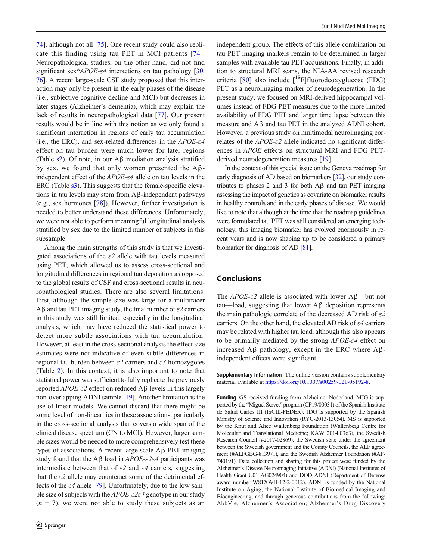[74\]](#page-12-0), although not all [\[75](#page-12-0)]. One recent study could also replicate this finding using tau PET in MCI patients [\[74](#page-12-0)]. Neuropathological studies, on the other hand, did not find significant sex\**APOE-ε4* interactions on tau pathology [[30,](#page-11-0) [76\]](#page-12-0). A recent large-scale CSF study proposed that this interaction may only be present in the early phases of the disease (i.e., subjective cognitive decline and MCI) but decreases in later stages (Alzheimer's dementia), which may explain the lack of results in neuropathological data [\[77](#page-12-0)]. Our present results would be in line with this notion as we only found a significant interaction in regions of early tau accumulation (i.e., the ERC), and sex-related differences in the  $APOE- \epsilon 4$ effect on tau burden were much lower for later regions (Table s2). Of note, in our Aβ mediation analysis stratified by sex, we found that only women presented the  $Aβ$ independent effect of the  $APOE$ - $\varepsilon$ 4 allele on tau levels in the ERC (Table s3). This suggests that the female-specific elevations in tau levels may stem from Aβ-independent pathways (e.g., sex hormones [[78\]](#page-12-0)). However, further investigation is needed to better understand these differences. Unfortunately, we were not able to perform meaningful longitudinal analysis stratified by sex due to the limited number of subjects in this subsample.

Among the main strengths of this study is that we investigated associations of the  $\varepsilon$ 2 allele with tau levels measured using PET, which allowed us to assess cross-sectional and longitudinal differences in regional tau deposition as opposed to the global results of CSF and cross-sectional results in neuropathological studies. There are also several limitations. First, although the sample size was large for a multitracer A $\beta$  and tau PET imaging study, the final number of  $\epsilon$ 2 carriers in this study was still limited, especially in the longitudinal analysis, which may have reduced the statistical power to detect more subtle associations with tau accumulation. However, at least in the cross-sectional analysis the effect size estimates were not indicative of even subtle differences in regional tau burden between  $\varepsilon$ 2 carriers and  $\varepsilon$ 3 homozygotes (Table [2](#page-4-0)). In this context, it is also important to note that statistical power was sufficient to fully replicate the previously reported  $APOE$ -ε2 effect on reduced  $\overrightarrow{AB}$  levels in this largely non-overlapping ADNI sample [\[19\]](#page-10-0). Another limitation is the use of linear models. We cannot discard that there might be some level of non-linearities in these associations, particularly in the cross-sectional analysis that covers a wide span of the clinical disease spectrum (CN to MCI). However, larger sample sizes would be needed to more comprehensively test these types of associations. A recent large-scale Aβ PET imaging study found that the A $\beta$  load in APOE- $\epsilon$ 2 $\epsilon$ 4 participants was intermediate between that of  $\varepsilon$ 2 and  $\varepsilon$ 4 carriers, suggesting that the  $\varepsilon$ 2 allele may counteract some of the detrimental effects of the  $\varepsilon$ 4 allele [\[79\]](#page-12-0). Unfortunately, due to the low sample size of subjects with the  $APOE$ - $\varepsilon$ 2 $\varepsilon$ 4 genotype in our study  $(n = 7)$ , we were not able to study these subjects as an

independent group. The effects of this allele combination on tau PET imaging markers remain to be determined in larger samples with available tau PET acquisitions. Finally, in addition to structural MRI scans, the NIA-AA revised research criteria  $[80]$  $[80]$  $[80]$  also include  $[{}^{18}F]$ fluorodeoxyglucose (FDG) PET as a neuroimaging marker of neurodegeneration. In the present study, we focused on MRI-derived hippocampal volumes instead of FDG PET measures due to the more limited availability of FDG PET and larger time lapse between this measure and Aβ and tau PET in the analyzed ADNI cohort. However, a previous study on multimodal neuroimaging correlates of the  $APOE$ - $\varepsilon$ 2 allele indicated no significant differences in APOE effects on structural MRI and FDG PETderived neurodegeneration measures [\[19\]](#page-10-0).

In the context of this special issue on the Geneva roadmap for early diagnosis of AD based on biomarkers [\[32](#page-11-0)], our study contributes to phases 2 and 3 for both  $\overrightarrow{AB}$  and tau PET imaging assessing the impact of genetics as covariate on biomarker results in healthy controls and in the early phases of disease. We would like to note that although at the time that the roadmap guidelines were formulated tau PET was still considered an emerging technology, this imaging biomarker has evolved enormously in recent years and is now shaping up to be considered a primary biomarker for diagnosis of AD [\[81](#page-12-0)].

# Conclusions

The  $APOE-\epsilon2$  allele is associated with lower A $\beta$ —but not tau—load, suggesting that lower Aβ deposition represents the main pathologic correlate of the decreased AD risk of  $\varepsilon$ 2 carriers. On the other hand, the elevated AD risk of  $\varepsilon$ 4 carriers may be related with higher tau load, although this also appears to be primarily mediated by the strong  $APOE-\epsilon 4$  effect on increased Aβ pathology, except in the ERC where Aβindependent effects were significant.

Supplementary Information The online version contains supplementary material available at [https://doi.org/10.1007/s00259-021-05192-8.](https://doi.org/10.1007/s00259-021-05192-8)

Funding GS received funding from Alzheimer Nederland. MJG is supported by the "Miguel Servet" program (CP19/00031) of the Spanish Instituto de Salud Carlos III (ISCIII-FEDER). JDG is supported by the Spanish Ministry of Science and Innovation (RYC-2013-13054). MS is supported by the Knut and Alice Wallenberg Foundation (Wallenberg Centre for Molecular and Translational Medicine; KAW 2014.0363), the Swedish Research Council (#2017-02869), the Swedish state under the agreement between the Swedish government and the County Councils, the ALF agreement (#ALFGBG-813971), and the Swedish Alzheimer Foundation (#AF-740191). Data collection and sharing for this project were funded by the Alzheimer's Disease Neuroimaging Initiative (ADNI) (National Institutes of Health Grant U01 AG024904) and DOD ADNI (Department of Defense award number W81XWH-12-2-0012). ADNI is funded by the National Institute on Aging, the National Institute of Biomedical Imaging and Bioengineering, and through generous contributions from the following: AbbVie, Alzheimer's Association; Alzheimer's Drug Discovery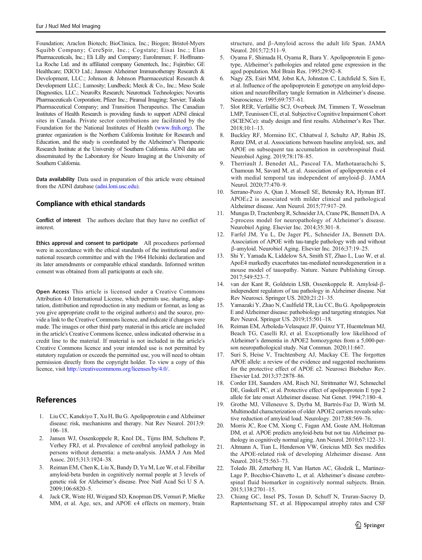<span id="page-10-0"></span>Foundation; Araclon Biotech; BioClinica, Inc.; Biogen; Bristol-Myers Squibb Company; CereSpir, Inc.; Cogstate; Eisai Inc.; Elan Pharmaceuticals, Inc.; Eli Lilly and Company; EuroImmun; F. Hoffmann-La Roche Ltd. and its affiliated company Genentech, Inc.; Fujirebio; GE Healthcare; IXICO Ltd.; Janssen Alzheimer Immunotherapy Research & Development, LLC.; Johnson & Johnson Pharmaceutical Research & Development LLC.; Lumosity; Lundbeck; Merck & Co., Inc.; Meso Scale Diagnostics, LLC.; NeuroRx Research; Neurotrack Technologies; Novartis Pharmaceuticals Corporation; Pfizer Inc.; Piramal Imaging; Servier; Takeda Pharmaceutical Company; and Transition Therapeutics. The Canadian Institutes of Health Research is providing funds to support ADNI clinical sites in Canada. Private sector contributions are facilitated by the Foundation for the National Institutes of Health ([www.fnih.org](http://www.fnih.org)). The grantee organization is the Northern California Institute for Research and Education, and the study is coordinated by the Alzheimer's Therapeutic Research Institute at the University of Southern California. ADNI data are disseminated by the Laboratory for Neuro Imaging at the University of Southern California.

Data availability Data used in preparation of this article were obtained from the ADNI database [\(adni.loni.usc.edu\)](http://adni.loni.usc.edu/).

## Compliance with ethical standards

Conflict of interest The authors declare that they have no conflict of interest.

Ethics approval and consent to participate All procedures performed were in accordance with the ethical standards of the institutional and/or national research committee and with the 1964 Helsinki declaration and its later amendments or comparable ethical standards. Informed written consent was obtained from all participants at each site.

Open Access This article is licensed under a Creative Commons Attribution 4.0 International License, which permits use, sharing, adaptation, distribution and reproduction in any medium or format, as long as you give appropriate credit to the original author(s) and the source, provide a link to the Creative Commons licence, and indicate if changes were made. The images or other third party material in this article are included in the article's Creative Commons licence, unless indicated otherwise in a credit line to the material. If material is not included in the article's Creative Commons licence and your intended use is not permitted by statutory regulation or exceeds the permitted use, you will need to obtain permission directly from the copyright holder. To view a copy of this licence, visit [http://creativecommons.org/licenses/by/4.0/](https://doi.org/10.1212/WNL.0000000000010629).

# References

- 1. Liu CC, Kanekiyo T, Xu H, Bu G. Apolipoprotein e and Alzheimer disease: risk, mechanisms and therapy. Nat Rev Neurol. 2013;9: 106–18.
- 2. Jansen WJ, Ossenkoppele R, Knol DL, Tijms BM, Scheltens P, Verhey FRJ, et al. Prevalence of cerebral amyloid pathology in persons without dementia: a meta-analysis. JAMA J Am Med Assoc. 2015;313:1924–38.
- 3. Reiman EM, Chen K, Liu X, Bandy D, Yu M, Lee W, et al. Fibrillar amyloid-beta burden in cognitively normal people at 3 levels of genetic risk for Alzheimer's disease. Proc Natl Acad Sci U S A. 2009;106:6820–5.
- 4. Jack CR, Wiste HJ, Weigand SD, Knopman DS, Vemuri P, Mielke MM, et al. Age, sex, and APOE ∈4 effects on memory, brain

structure, and β-Amyloid across the adult life Span. JAMA Neurol. 2015;72:511–9.

- 5. Oyama F, Shimada H, Oyama R, Ihara Y. Apolipoprotein E genotype, Alzheimer's pathologies and related gene expression in the aged population. Mol Brain Res. 1995;29:92–8.
- 6. Nagy ZS, Esiri MM, Jobst KA, Johnston C, Litchfield S, Sim E, et al. Influence of the apolipoprotein E genotype on amyloid deposition and neurofibrillary tangle formation in Alzheimer's disease. Neuroscience. 1995;69:757–61.
- 7. Slot RER, Verfaillie SCJ, Overbeek JM, Timmers T, Wesselman LMP, Teunissen CE, et al. Subjective Cognitive Impairment Cohort (SCIENCe): study design and first results. Alzheimer's Res Ther. 2018;10:1–13.
- 8. Buckley RF, Mormino EC, Chhatwal J, Schultz AP, Rabin JS, Rentz DM, et al. Associations between baseline amyloid, sex, and APOE on subsequent tau accumulation in cerebrospinal fluid. Neurobiol Aging. 2019;78:178–85.
- 9. Therriault J, Benedet AL, Pascoal TA, Mathotaarachchi S, Chamoun M, Savard M, et al. Association of apolipoprotein e  $\epsilon$ 4 with medial temporal tau independent of amyloid-β. JAMA Neurol. 2020;77:470–9.
- 10. Serrano-Pozo A, Qian J, Monsell SE, Betensky RA, Hyman BT. APOEε2 is associated with milder clinical and pathological Alzheimer disease. Ann Neurol. 2015;77:917–29.
- 11. Mungas D, Tractenberg R, Schneider JA, Crane PK, Bennett DA. A 2-process model for neuropathology of Alzheimer's disease. Neurobiol Aging. Elsevier Inc. 2014;35:301–8.
- 12. Farfel JM, Yu L, De Jager PL, Schneider JA, Bennett DA. Association of APOE with tau-tangle pathology with and without β-amyloid. Neurobiol Aging. Elsevier Inc. 2016;37:19–25.
- 13. Shi Y, Yamada K, Liddelow SA, Smith ST, Zhao L, Luo W, et al. ApoE4 markedly exacerbates tau-mediated neurodegeneration in a mouse model of tauopathy. Nature. Nature Publishing Group. 2017;549:523–7.
- 14. van der Kant R, Goldstein LSB, Ossenkoppele R. Amyloid-βindependent regulators of tau pathology in Alzheimer disease. Nat Rev Neurosci. Springer US. 2020;21:21–35.
- 15. Yamazaki Y, Zhao N, Caulfield TR, Liu CC, Bu G. Apolipoprotein E and Alzheimer disease: pathobiology and targeting strategies. Nat Rev Neurol. Springer US. 2019;15:501–18.
- 16. Reiman EM, Arboleda-Velasquez JF, Quiroz YT, Huentelman MJ, Beach TG, Caselli RJ, et al. Exceptionally low likelihood of Alzheimer's dementia in APOE2 homozygotes from a 5,000-person neuropathological study. Nat Commun. 2020;11:667.
- 17. Suri S, Heise V, Trachtenberg AJ, Mackay CE. The forgotten APOE allele: a review of the evidence and suggested mechanisms for the protective effect of APOE e2. Neurosci Biobehav Rev. Elsevier Ltd. 2013;37:2878–86.
- 18. Corder EH, Saunders AM, Risch NJ, Strittmatter WJ, Schmechel DE, Gaskell PC, et al. Protective effect of apolipoprotein E type 2 allele for late onset Alzheimer disease. Nat Genet. 1994;7:180–4.
- 19. Grothe MJ, Villeneuve S, Dyrba M, Bartrés-Faz D, Wirth M. Multimodal characterization of older APOE2 carriers reveals selective reduction of amyloid load. Neurology. 2017;88:569–76.
- 20. Morris JC, Roe CM, Xiong C, Fagan AM, Goate AM, Holtzman DM, et al. APOE predicts amyloid-beta but not tau Alzheimer pathology in cognitively normal aging. Ann Neurol. 2010;67:122–31.
- 21. Altmann A, Tian L, Henderson VW, Greicius MD. Sex modifies the APOE-related risk of developing Alzheimer disease. Ann Neurol. 2014;75:563–73.
- 22. Toledo JB, Zetterberg H, Van Harten AC, Glodzik L, Martinez-Lage P, Bocchio-Chiavetto L, et al. Alzheimer's disease cerebrospinal fluid biomarker in cognitively normal subjects. Brain. 2015;138:2701–15.
- 23. Chiang GC, Insel PS, Tosun D, Schuff N, Truran-Sacrey D, Raptentsetsang ST, et al. Hippocampal atrophy rates and CSF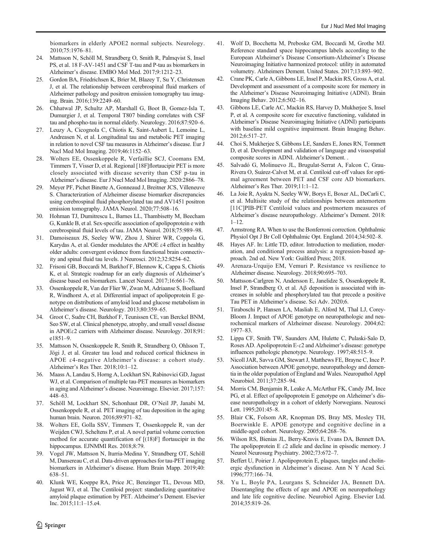<span id="page-11-0"></span>biomarkers in elderly APOE2 normal subjects. Neurology. 2010;75:1976–81.

- 24. Mattsson N, Schöll M, Strandberg O, Smith R, Palmqvist S, Insel PS, et al. 18 F-AV-1451 and CSF T-tau and P-tau as biomarkers in Alzheimer's disease. EMBO Mol Med. 2017;9:1212–23.
- 25. Gordon BA, Friedrichsen K, Brier M, Blazey T, Su Y, Christensen J, et al. The relationship between cerebrospinal fluid markers of Alzheimer pathology and positron emission tomography tau imaging. Brain. 2016;139:2249–60.
- 26. Chhatwal JP, Schultz AP, Marshall G, Boot B, Gomez-Isla T, Dumurgier J, et al. Temporal T807 binding correlates with CSF tau and phospho-tau in normal elderly. Neurology. 2016;87:920–6.
- 27. Leuzy A, Cicognola C, Chiotis K, Saint-Aubert L, Lemoine L, Andreasen N, et al. Longitudinal tau and metabolic PET imaging in relation to novel CSF tau measures in Alzheimer's disease. Eur J Nucl Med Mol Imaging. 2019;46:1152–63.
- 28. Wolters EE, Ossenkoppele R, Verfaillie SCJ, Coomans EM, Timmers T, Visser D, et al. Regional [18F]flortaucipir PET is more closely associated with disease severity than CSF p-tau in Alzheimer's disease. Eur J Nucl Med Mol Imaging. 2020:2866–78.
- 29. Meyer PF, Pichet Binette A, Gonneaud J, Breitner JCS, Villeneuve S. Characterization of Alzheimer disease biomarker discrepancies using cerebrospinal fluid phosphorylated tau and AV1451 positron emission tomography. JAMA Neurol. 2020;77:508–16.
- 30. Hohman TJ, Dumitrescu L, Barnes LL, Thambisetty M, Beecham G, Kunkle B, et al. Sex-specific association of apolipoprotein e with cerebrospinal fluid levels of tau. JAMA Neurol. 2018;75:989–98.
- 31. Damoiseaux JS, Seeley WW, Zhou J, Shirer WR, Coppola G, Karydas A, et al. Gender modulates the APOE ε4 effect in healthy older adults: convergent evidence from functional brain connectivity and spinal fluid tau levels. J Neurosci. 2012;32:8254–62.
- 32. Frisoni GB, Boccardi M, Barkhof F, Blennow K, Cappa S, Chiotis K, et al. Strategic roadmap for an early diagnosis of Alzheimer's disease based on biomarkers. Lancet Neurol. 2017;16:661–76.
- 33. Ossenkoppele R, Van der Flier W, Zwan M, Adriaanse S, Boellaard R, Windhorst A, et al. Differential impact of apolipoprotein E genotype on distributions of amyloid load and glucose metabolism in Alzheimer's disease. Neurology. 2013;80:359–65.
- 34. Groot C, Sudre CH, Barkhof F, Teunissen CE, van Berckel BNM, Seo SW, et al. Clinical phenotype, atrophy, and small vessel disease in APOEε2 carriers with Alzheimer disease. Neurology. 2018;91: e1851–9.
- 35. Mattsson N, Ossenkoppele R, Smith R, Strandberg O, Ohlsson T, Jögi J, et al. Greater tau load and reduced cortical thickness in APOE ε4-negative Alzheimer's disease: a cohort study. Alzheimer's Res Ther. 2018;10:1–12.
- 36. Maass A, Landau S, Horng A, Lockhart SN, Rabinovici GD, Jagust WJ, et al. Comparison of multiple tau-PET measures as biomarkers in aging and Alzheimer's disease. Neuroimage. Elsevier. 2017;157: 448–63.
- 37. Schöll M, Lockhart SN, Schonhaut DR, O'Neil JP, Janabi M, Ossenkoppele R, et al. PET imaging of tau deposition in the aging human brain. Neuron. 2016;89:971–82.
- 38. Wolters EE, Golla SSV, Timmers T, Ossenkoppele R, van der Weijden CWJ, Scheltens P, et al. A novel partial volume correction method for accurate quantification of [(18)F] flortaucipir in the hippocampus. EJNMMI Res. 2018;8:79.
- 39. Vogel JW, Mattsson N, Iturria-Medina Y, Strandberg OT, Schöll M, Dansereau C, et al. Data-driven approaches for tau-PET imaging biomarkers in Alzheimer's disease. Hum Brain Mapp. 2019;40: 638–51.
- 40. Klunk WE, Koeppe RA, Price JC, Benzinger TL, Devous MD, Jagust WJ, et al. The Centiloid project: standardizing quantitative amyloid plaque estimation by PET. Alzheimer's Dement. Elsevier Inc. 2015;11:1–15.e4.
- 41. Wolf D, Bocchetta M, Preboske GM, Boccardi M, Grothe MJ. Reference standard space hippocampus labels according to the European Alzheimer's Disease Consortium-Alzheimer's Disease Neuroimaging Initiative harmonized protocol: utility in automated volumetry. Alzheimers Dement. United States. 2017;13:893–902.
- 42. Crane PK, Carle A, Gibbons LE, Insel P, Mackin RS, Gross A, et al. Development and assessment of a composite score for memory in the Alzheimer's Disease Neuroimaging Initiative (ADNI). Brain Imaging Behav. 2012;6:502–16.
- 43. Gibbons LE, Carle AC, Mackin RS, Harvey D, Mukherjee S, Insel P, et al. A composite score for executive functioning, validated in Alzheimer's Disease Neuroimaging Initiative (ADNI) participants with baseline mild cognitive impairment. Brain Imaging Behav. 2012;6:517–27.
- 44. Choi S, Mukherjee S, Gibbons LE, Sanders E, Jones RN, Tommett D, et al. Development and validation of language and visuospatial composite scores in ADNI. Alzheimer's Dement. .
- 45. Salvadó G, Molinuevo JL, Brugulat-Serrat A, Falcon C, Grau-Rivera O, Suárez-Calvet M, et al. Centiloid cut-off values for optimal agreement between PET and CSF core AD biomarkers. Alzheimer's Res Ther. 2019;11:1–12.
- 46. La Joie R, Ayakta N, Seeley WW, Borys E, Boxer AL, DeCarli C, et al. Multisite study of the relationships between antemortem [11C]PIB-PET Centiloid values and postmortem measures of Alzheimer's disease neuropathology. Alzheimer's Dement. 2018:  $1 - 12$ .
- 47. Armstrong RA. When to use the Bonferroni correction. Ophthalmic Physiol Opt J Br Coll Ophthalmic Opt. England. 2014;34:502–8.
- 48. Hayes AF. In: Little TD, editor. Introduction to mediation, moderation, and conditional process analysis: a regression-based approach. 2nd ed. New York: Guilford Press; 2018.
- 49. Arenaza-Urquijo EM, Vemuri P. Resistance vs resilience to Alzheimer disease. Neurology. 2018;90:695–703.
- 50. Mattsson-Carlgren N, Andersson E, Janelidze S, Ossenkoppele R, Insel P, Strandberg O, et al. Aβ deposition is associated with increases in soluble and phosphorylated tau that precede a positive Tau PET in Alzheimer's disease. Sci Adv. 2020;6.
- 51. Tiraboschi P, Hansen LA, Masliah E, Alford M, Thal LJ, Corey-Bloom J. Impact of APOE genotype on neuropathologic and neurochemical markers of Alzheimer disease. Neurology. 2004;62: 1977–83.
- 52. Lippa CF, Smith TW, Saunders AM, Hulette C, Pulaski-Salo D, Roses AD. Apolipoprotein E-ε2 and Alzheimer's disease: genotype influences pathologic phenotype. Neurology. 1997;48:515–9.
- Nicoll JAR, Savva GM, Stewart J, Matthews FE, Brayne C, Ince P. Association between APOE genotype, neuropathology and dementia in the older population of England and Wales. Neuropathol Appl Neurobiol. 2011;37:285–94.
- 54. Morris CM, Benjamin R, Leake A, McArthur FK, Candy JM, Ince PG, et al. Effect of apolipoprotein E genotype on Alzheimer's disease neuropathology in a cohort of elderly Norwegians. Neurosci Lett. 1995;201:45–8.
- 55. Blair CK, Folsom AR, Knopman DS, Bray MS, Mosley TH, Boerwinkle E. APOE genotype and cognitive decline in a middle-aged cohort. Neurology. 2005;64:268–76.
- 56. Wilson RS, Bienias JL, Berry-Kravis E, Evans DA, Bennett DA. The apolipoprotein E  $\epsilon$ 2 allele and decline in episodic memory. J Neurol Neurosurg Psychiatry. 2002;73:672–7.
- 57. Beffert U, Poirier J. Apolipoprotein E, plaques, tangles and cholinergic dysfunction in Alzheimer's disease. Ann N Y Acad Sci. 1996;777:166–74.
- 58. Yu L, Boyle PA, Leurgans S, Schneider JA, Bennett DA. Disentangling the effects of age and APOE on neuropathology and late life cognitive decline. Neurobiol Aging. Elsevier Ltd. 2014;35:819–26.